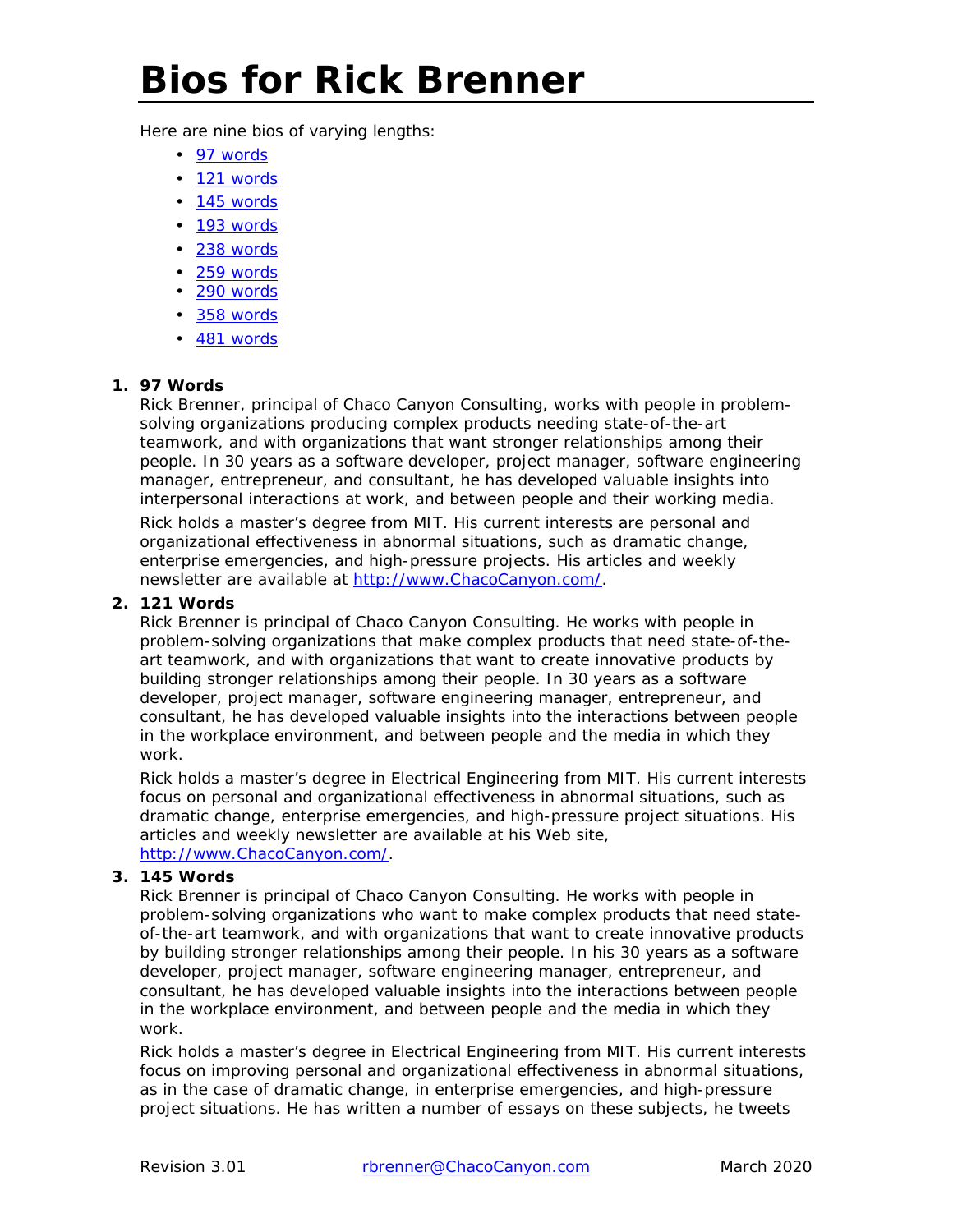# **Bios for Rick Brenner**

Here are nine bios of varying lengths:

- [97 words](#page-0-0)
- [121 words](#page-0-1)
- [145 words](#page-0-2)
- [193 words](#page-1-0)
- [238 words](#page-1-1)
- [259 words](#page-1-2)
- [290 words](#page-2-0)
- [358 words](#page-2-1)
- [481 words](#page-3-0)

#### **1. 97 Words**

<span id="page-0-0"></span>Rick Brenner, principal of Chaco Canyon Consulting, works with people in problemsolving organizations producing complex products needing state-of-the-art teamwork, and with organizations that want stronger relationships among their people. In 30 years as a software developer, project manager, software engineering manager, entrepreneur, and consultant, he has developed valuable insights into interpersonal interactions at work, and between people and their working media.

Rick holds a master's degree from MIT. His current interests are personal and organizational effectiveness in abnormal situations, such as dramatic change, enterprise emergencies, and high-pressure projects. His articles and weekly newsletter are available at [http://www.ChacoCanyon.com/.](http://www.chacocanyon.com/)

#### **2. 121 Words**

<span id="page-0-1"></span>Rick Brenner is principal of Chaco Canyon Consulting. He works with people in problem-solving organizations that make complex products that need state-of-theart teamwork, and with organizations that want to create innovative products by building stronger relationships among their people. In 30 years as a software developer, project manager, software engineering manager, entrepreneur, and consultant, he has developed valuable insights into the interactions between people in the workplace environment, and between people and the media in which they work.

Rick holds a master's degree in Electrical Engineering from MIT. His current interests focus on personal and organizational effectiveness in abnormal situations, such as dramatic change, enterprise emergencies, and high-pressure project situations. His articles and weekly newsletter are available at his Web site, [http://www.ChacoCanyon.com/.](http://www.chacocanyon.com/)

## **3. 145 Words**

<span id="page-0-2"></span>Rick Brenner is principal of Chaco Canyon Consulting. He works with people in problem-solving organizations who want to make complex products that need stateof-the-art teamwork, and with organizations that want to create innovative products by building stronger relationships among their people. In his 30 years as a software developer, project manager, software engineering manager, entrepreneur, and consultant, he has developed valuable insights into the interactions between people in the workplace environment, and between people and the media in which they work.

Rick holds a master's degree in Electrical Engineering from MIT. His current interests focus on improving personal and organizational effectiveness in abnormal situations, as in the case of dramatic change, in enterprise emergencies, and high-pressure project situations. He has written a number of essays on these subjects, he tweets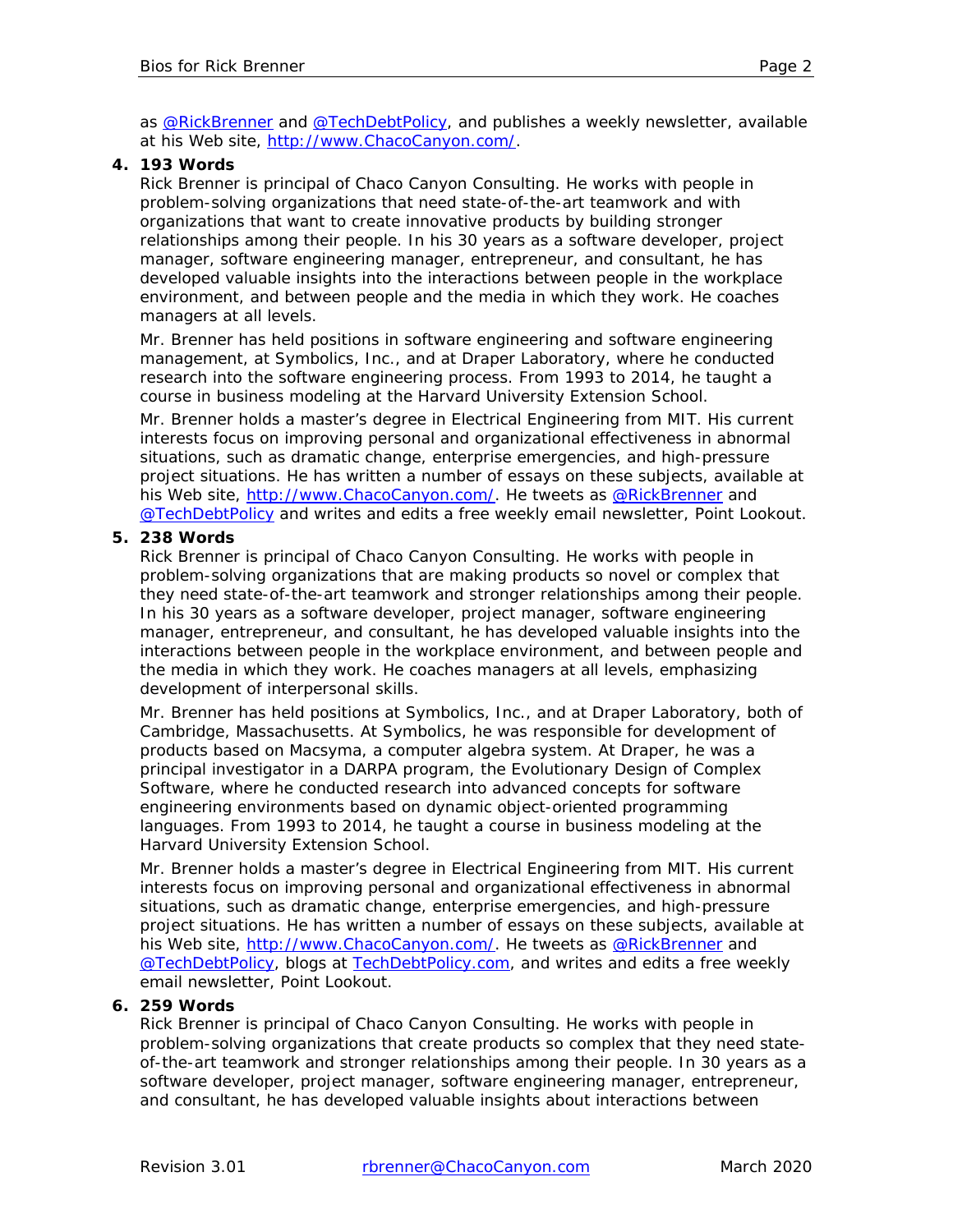as [@RickBrenner](https://twitter.com/RickBrenner) and [@TechDebtPolicy,](https://twitter.com/TechDebtPolicy) and publishes a weekly newsletter, available at his Web site, [http://www.ChacoCanyon.com/.](http://www.chacocanyon.com/)

#### **4. 193 Words**

<span id="page-1-0"></span>Rick Brenner is principal of Chaco Canyon Consulting. He works with people in problem-solving organizations that need state-of-the-art teamwork and with organizations that want to create innovative products by building stronger relationships among their people. In his 30 years as a software developer, project manager, software engineering manager, entrepreneur, and consultant, he has developed valuable insights into the interactions between people in the workplace environment, and between people and the media in which they work. He coaches managers at all levels.

Mr. Brenner has held positions in software engineering and software engineering management, at Symbolics, Inc., and at Draper Laboratory, where he conducted research into the software engineering process. From 1993 to 2014, he taught a course in business modeling at the Harvard University Extension School.

Mr. Brenner holds a master's degree in Electrical Engineering from MIT. His current interests focus on improving personal and organizational effectiveness in abnormal situations, such as dramatic change, enterprise emergencies, and high-pressure project situations. He has written a number of essays on these subjects, available at his Web site, [http://www.ChacoCanyon.com/.](http://www.chacocanyon.com/) He tweets as [@RickBrenner](https://twitter.com/RickBrenner) and [@TechDebtPolicy](https://twitter.com/TechDebtPolicy) and writes and edits a free weekly email newsletter, *Point Lookout*.

#### **5. 238 Words**

<span id="page-1-1"></span>Rick Brenner is principal of Chaco Canyon Consulting. He works with people in problem-solving organizations that are making products so novel or complex that they need state-of-the-art teamwork and stronger relationships among their people. In his 30 years as a software developer, project manager, software engineering manager, entrepreneur, and consultant, he has developed valuable insights into the interactions between people in the workplace environment, and between people and the media in which they work. He coaches managers at all levels, emphasizing development of interpersonal skills.

Mr. Brenner has held positions at Symbolics, Inc., and at Draper Laboratory, both of Cambridge, Massachusetts. At Symbolics, he was responsible for development of products based on Macsyma, a computer algebra system. At Draper, he was a principal investigator in a DARPA program, the Evolutionary Design of Complex Software, where he conducted research into advanced concepts for software engineering environments based on dynamic object-oriented programming languages. From 1993 to 2014, he taught a course in business modeling at the Harvard University Extension School.

Mr. Brenner holds a master's degree in Electrical Engineering from MIT. His current interests focus on improving personal and organizational effectiveness in abnormal situations, such as dramatic change, enterprise emergencies, and high-pressure project situations. He has written a number of essays on these subjects, available at his Web site, [http://www.ChacoCanyon.com/.](http://www.chacocanyon.com/) He tweets as [@RickBrenner](https://twitter.com/RickBrenner) and **[@TechDebtPolicy,](https://twitter.com/TechDebtPolicy) blogs at [TechDebtPolicy.com,](http://techdebtpolicy.com/) and writes and edits a free weekly** email newsletter, *Point Lookout*.

## **6. 259 Words**

<span id="page-1-2"></span>Rick Brenner is principal of Chaco Canyon Consulting. He works with people in problem-solving organizations that create products so complex that they need stateof-the-art teamwork and stronger relationships among their people. In 30 years as a software developer, project manager, software engineering manager, entrepreneur, and consultant, he has developed valuable insights about interactions between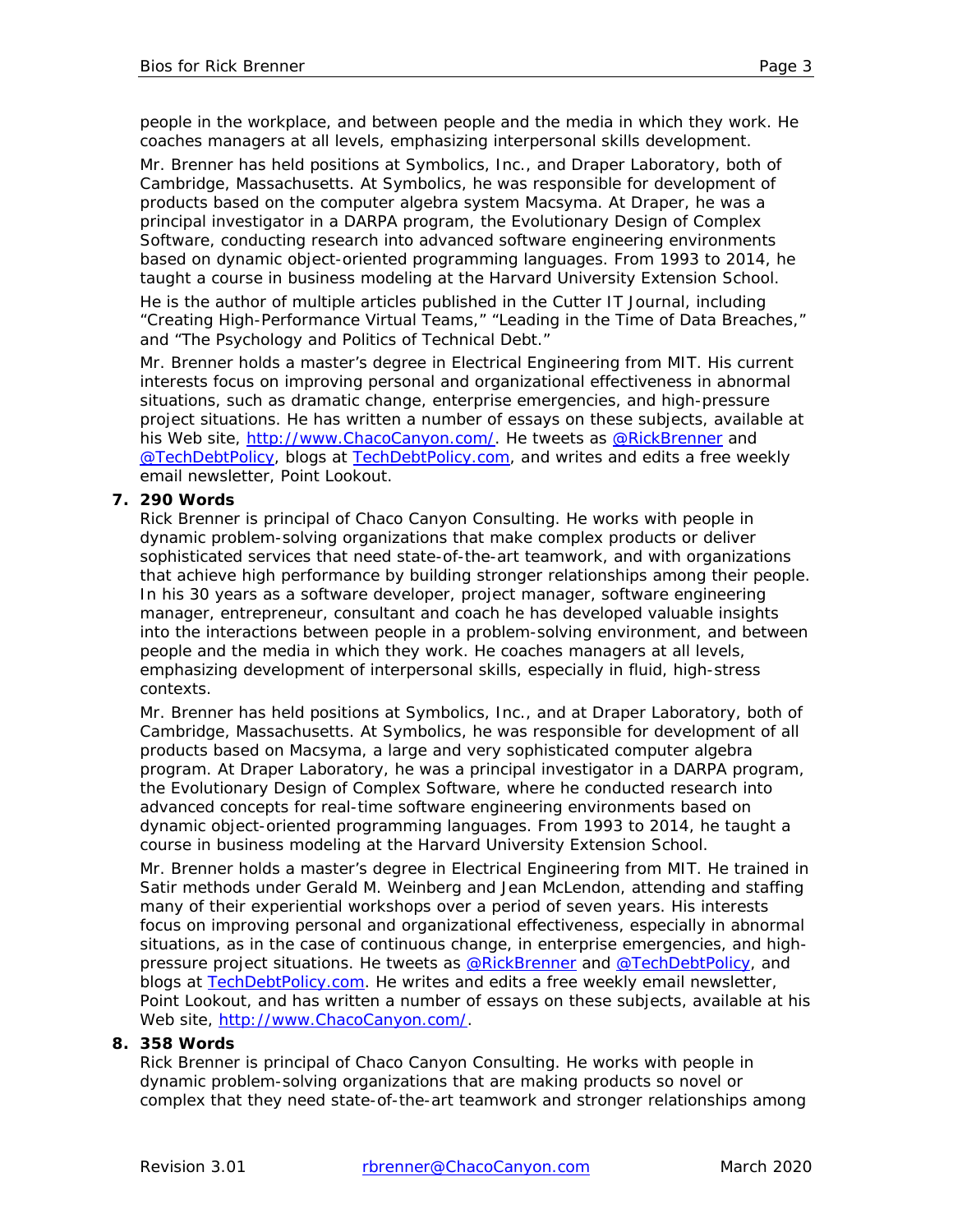people in the workplace, and between people and the media in which they work. He coaches managers at all levels, emphasizing interpersonal skills development.

Mr. Brenner has held positions at Symbolics, Inc., and Draper Laboratory, both of Cambridge, Massachusetts. At Symbolics, he was responsible for development of products based on the computer algebra system Macsyma. At Draper, he was a principal investigator in a DARPA program, the Evolutionary Design of Complex Software, conducting research into advanced software engineering environments based on dynamic object-oriented programming languages. From 1993 to 2014, he taught a course in business modeling at the Harvard University Extension School.

He is the author of multiple articles published in the *Cutter IT Journal*, including "Creating High-Performance Virtual Teams," "Leading in the Time of Data Breaches," and "The Psychology and Politics of Technical Debt."

Mr. Brenner holds a master's degree in Electrical Engineering from MIT. His current interests focus on improving personal and organizational effectiveness in abnormal situations, such as dramatic change, enterprise emergencies, and high-pressure project situations. He has written a number of essays on these subjects, available at his Web site, [http://www.ChacoCanyon.com/.](http://www.chacocanyon.com/) He tweets as [@RickBrenner](https://twitter.com/RickBrenner) and **@TechDebtPolicy**, blogs at [TechDebtPolicy.com,](http://techdebtpolicy.com/) and writes and edits a free weekly email newsletter, *Point Lookout*.

## **7. 290 Words**

<span id="page-2-0"></span>Rick Brenner is principal of Chaco Canyon Consulting. He works with people in dynamic problem-solving organizations that make complex products or deliver sophisticated services that need state-of-the-art teamwork, and with organizations that achieve high performance by building stronger relationships among their people. In his 30 years as a software developer, project manager, software engineering manager, entrepreneur, consultant and coach he has developed valuable insights into the interactions between people in a problem-solving environment, and between people and the media in which they work. He coaches managers at all levels, emphasizing development of interpersonal skills, especially in fluid, high-stress contexts.

Mr. Brenner has held positions at Symbolics, Inc., and at Draper Laboratory, both of Cambridge, Massachusetts. At Symbolics, he was responsible for development of all products based on Macsyma, a large and very sophisticated computer algebra program. At Draper Laboratory, he was a principal investigator in a DARPA program, the Evolutionary Design of Complex Software, where he conducted research into advanced concepts for real-time software engineering environments based on dynamic object-oriented programming languages. From 1993 to 2014, he taught a course in business modeling at the Harvard University Extension School.

Mr. Brenner holds a master's degree in Electrical Engineering from MIT. He trained in Satir methods under Gerald M. Weinberg and Jean McLendon, attending and staffing many of their experiential workshops over a period of seven years. His interests focus on improving personal and organizational effectiveness, especially in abnormal situations, as in the case of continuous change, in enterprise emergencies, and highpressure project situations. He tweets as **@RickBrenner** and **@TechDebtPolicy**, and blogs at [TechDebtPolicy.com.](http://techdebtpolicy.com/) He writes and edits a free weekly email newsletter, *Point Lookout*, and has written a number of essays on these subjects, available at his Web site, [http://www.ChacoCanyon.com/.](http://www.chacocanyon.com/)

#### **8. 358 Words**

<span id="page-2-1"></span>Rick Brenner is principal of Chaco Canyon Consulting. He works with people in dynamic problem-solving organizations that are making products so novel or complex that they need state-of-the-art teamwork and stronger relationships among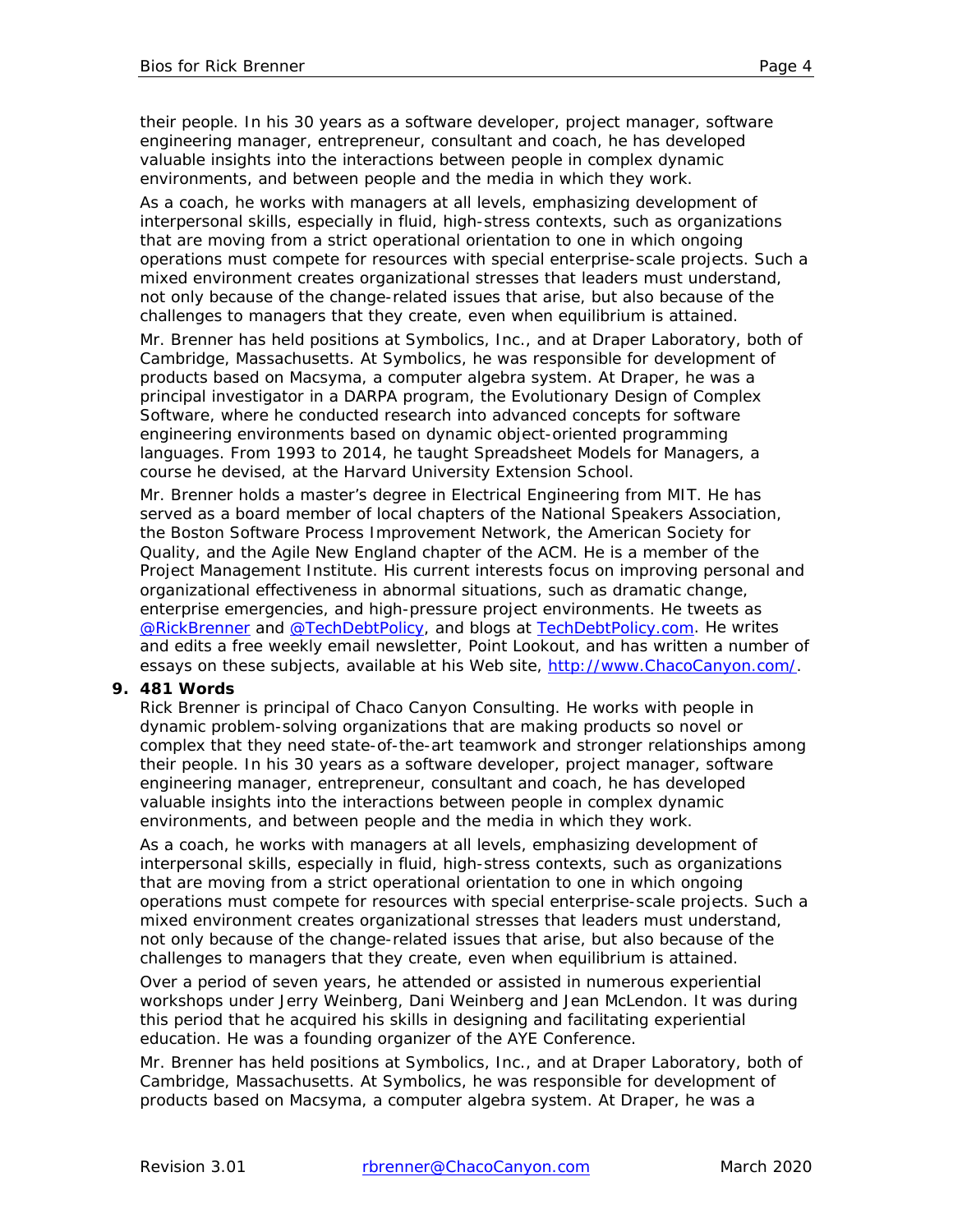their people. In his 30 years as a software developer, project manager, software engineering manager, entrepreneur, consultant and coach, he has developed valuable insights into the interactions between people in complex dynamic environments, and between people and the media in which they work.

As a coach, he works with managers at all levels, emphasizing development of interpersonal skills, especially in fluid, high-stress contexts, such as organizations that are moving from a strict operational orientation to one in which ongoing operations must compete for resources with special enterprise-scale projects. Such a mixed environment creates organizational stresses that leaders must understand, not only because of the change-related issues that arise, but also because of the challenges to managers that they create, even when equilibrium is attained.

Mr. Brenner has held positions at Symbolics, Inc., and at Draper Laboratory, both of Cambridge, Massachusetts. At Symbolics, he was responsible for development of products based on Macsyma, a computer algebra system. At Draper, he was a principal investigator in a DARPA program, the Evolutionary Design of Complex Software, where he conducted research into advanced concepts for software engineering environments based on dynamic object-oriented programming languages. From 1993 to 2014, he taught Spreadsheet Models for Managers, a course he devised, at the Harvard University Extension School.

Mr. Brenner holds a master's degree in Electrical Engineering from MIT. He has served as a board member of local chapters of the National Speakers Association, the Boston Software Process Improvement Network, the American Society for Quality, and the Agile New England chapter of the ACM. He is a member of the Project Management Institute. His current interests focus on improving personal and organizational effectiveness in abnormal situations, such as dramatic change, enterprise emergencies, and high-pressure project environments. He tweets as [@RickBrenner](https://twitter.com/RickBrenner) and [@TechDebtPolicy,](https://twitter.com/TechDebtPolicy) and blogs at [TechDebtPolicy.com.](http://techdebtpolicy.com/) He writes and edits a free weekly email newsletter, *Point Lookout*, and has written a number of essays on these subjects, available at his Web site, [http://www.ChacoCanyon.com/.](http://www.chacocanyon.com/)

#### **9. 481 Words**

<span id="page-3-0"></span>Rick Brenner is principal of Chaco Canyon Consulting. He works with people in dynamic problem-solving organizations that are making products so novel or complex that they need state-of-the-art teamwork and stronger relationships among their people. In his 30 years as a software developer, project manager, software engineering manager, entrepreneur, consultant and coach, he has developed valuable insights into the interactions between people in complex dynamic environments, and between people and the media in which they work.

As a coach, he works with managers at all levels, emphasizing development of interpersonal skills, especially in fluid, high-stress contexts, such as organizations that are moving from a strict operational orientation to one in which ongoing operations must compete for resources with special enterprise-scale projects. Such a mixed environment creates organizational stresses that leaders must understand, not only because of the change-related issues that arise, but also because of the challenges to managers that they create, even when equilibrium is attained.

Over a period of seven years, he attended or assisted in numerous experiential workshops under Jerry Weinberg, Dani Weinberg and Jean McLendon. It was during this period that he acquired his skills in designing and facilitating experiential education. He was a founding organizer of the AYE Conference.

Mr. Brenner has held positions at Symbolics, Inc., and at Draper Laboratory, both of Cambridge, Massachusetts. At Symbolics, he was responsible for development of products based on Macsyma, a computer algebra system. At Draper, he was a